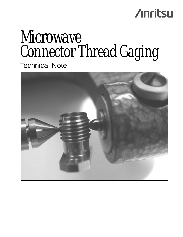## **Anritsu**

# Microwave Connector Thread Gaging

Technical Note

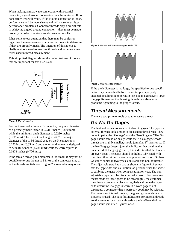When making a microwave connection with a coaxial connector, a good ground connection must be achieved. If not, poor return loss will result. If the ground connection is loose, performance will be inconsistent and will cause intermittent performance problems. Connector threads play a crucial role in achieving a good ground connection – they must be made properly in order to achieve good consistent results.

It has come to our attention that there may be confusion regarding the measurement of connector threads to determine if they are properly made. The intention of this note is to clarify methods used to measure threads and to define some terms used in thread measurement.

This simplified diagram shows the major features of threads that are important for this discussion



**Figure 1**. Thread definition

For the threads of a female K connector, the pitch diameter of a perfectly made thread is 0.2311 inches (5.870 mm) while the minimum pitch diameter is 0.2280 inches (5.791 mm). The correct flank angle is 60°. The major diameter of the  $\frac{1}{4}$ -36 thread used on the K connector is 0.250 inches (6.35 mm) and the minor diameter is designed to be 0.1885 inches (4.788 mm) while the correct pitch is 0.0278 inches (0.706 mm.)

If the female thread pitch diameter is too small, it may not be possible to torque the nut to 8 in-oz or the connector may tilt as the threads are tightened. Figure 2 shows what may occur.



**Figure 2.** Undersized Threads (exaggerated a bit)



**Figure 3.** Properly sized Threads

If the pitch diameter is too large, the specified torque specification may be reached before the center pin is properly engaged, resulting in poor return loss due to excessively large pin gap. Remember that housing threads can also cause problems tightening to the proper torque.

#### **Thread Measurements**

There are two primary tools used to measure threads.

### **Go-No Go Gages**

The first and easiest to use are Go-No Go gages. The type for external threads look similar to die used to thread rods. They come in pairs, the "Go gage" and the "No-Go gage." The Go gage should thread on easily while the No-Go gage, whose threads are slightly smaller, should jam after  $1\frac{1}{2}$  turns or so. If the No-Go gage doesn't jam, this indicates that the thread is undersized. If the go-gage jams, this indicates that the threads are over-sized. The gages should be lightly lubricated with machine oil to minimize wear and prevent corrosion. Go No-Go gages comes in two types, adjustable and non-adjustable. The adjustable type has a gap as shown in figure 4. A screw sets the gap width and calibration lab personnel use the screw to calibrate the gage when compensating for wear. The nonadjustable type must be discarded when worn. For measurements made by these gages to be meaningful, the customer must have a process in place to regularly calibrate the gages or to determine if a gage is worn. If a worn gage is not discarded, a connector that is perfectly good may be rejected. For measuring internal threads, the go-no go gage shown in Figure 5 is used. The pass/fail indications for internal threads are the same as for external threads – the No-Go end of the gage should jam after  $1\frac{1}{2}$  turns or so.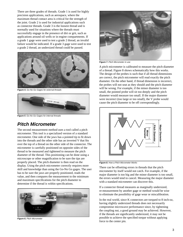There are three grades of threads. Grade 1 is used for highly precision applications, such as aerospace, where the maximum thread contact area is critical for the strength of the joint. Grade 2 is used for industrial applications such as connector threads. Grade 3 is the loosest thread and is normally used for situations where the threads must successfully engage in the presence of dirt or grit, such as applications around oil wells or in engine compartments. If a grade 1 gage were used to test a grade 2 thread, an invalid failure would be indicated. If a grade 3 gage were used to test a grade 2 thread, an undersized thread could be passed.



**Figure 4.** Go-No Go Gages for external threads



**Figure 5**. Go-No Go Gages for internal threads

#### **Pitch Micrometer**

The second measurement method uses a tool called a pitch micrometer. This tool is a specialized version of a standard micrometer. One side of the jaws has a pointed tip to fit down into the threads and the other side has an inverted V that fits over the top of a thread on the other side of the connector. The micrometer is carefully positioned on opposite sides of the thread to be measured and tightened to measure the pitch diameter of the thread. This positioning can be done using a microscope or other magnification to be sure the tips are properly placed. The pitch diameter is then read on the display. Using the pitch micrometer correctly requires more skill and knowledge than using the Go-No Go gages. The user has to be sure the jaws are properly positioned, reads the value, and then compares the measurement to the minimum and maximum specifications for the pitch diameter to determine if the thread is within specifications.



**Figure 6.** Pitch Micrometer



**Figure 7.** Pitch Micrometer in use

A pitch micrometer is calibrated to measure the pitch diameter of a thread. Figure 8 shows schematically how this works. The design of the probes is such that if all thread dimensions are correct, the pitch micrometer will read exactly the pitch diameter. On the other hand, if thread dimension is incorrect, the probes will not seat as they should and the pitch diameter will be wrong. For example, if the minor diameter is too small, the pointed probe will sit too deeply and the pitch diameter would measure too small. If the major diameter were incorrect (too large or too small), the V probe would cause the pitch diameter to be off correspondingly.



**Figure 8.** How a Pitch Micrometer Works

There can be offsetting errors in threads that the pitch micrometer by itself would not catch. For example, if the major diameter is too big and the minor diameter is too small, the errors would tend to cancel. Measuring the major diameter with a standard micrometer can discover this.

If a connector thread measures as marginally undersized, re-measurement by another gage or method would be wise to eliminate the possibility of gage wear or miscalibration.

In the real world, since K connectors are torqued to 8 inch-oz, having slightly undersized threads does not necessarily compromise microwave performance since, by tightening the coupling nut, a good ground may be achieved. However, if the threads are significantly undersized, it may not be possible to achieve the specified torque without applying force to the center pin.